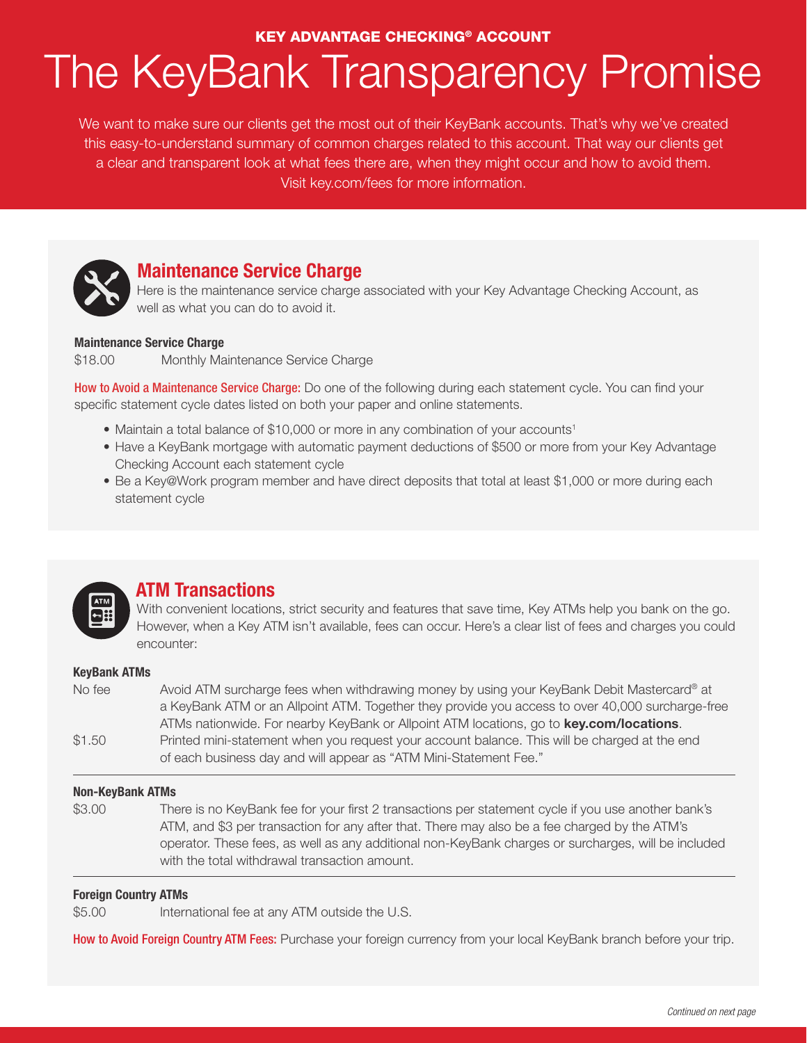# The KeyBank Transparency Promise KEY ADVANTAGE CHECKING® ACCOUNT

We want to make sure our clients get the most out of their KeyBank accounts. That's why we've created this easy-to-understand summary of common charges related to this account. That way our clients get a clear and transparent look at what fees there are, when they might occur and how to avoid them. Visit key.com/fees for more information.



## **Maintenance Service Charge**

Here is the maintenance service charge associated with your Key Advantage Checking Account, as well as what you can do to avoid it.

#### **Maintenance Service Charge**

\$18.00 Monthly Maintenance Service Charge

How to Avoid a Maintenance Service Charge: Do one of the following during each statement cycle. You can find your specific statement cycle dates listed on both your paper and online statements.

- Maintain a total balance of \$10,000 or more in any combination of your accounts<sup>1</sup>
- Have a KeyBank mortgage with automatic payment deductions of \$500 or more from your Key Advantage Checking Account each statement cycle
- Be a Key@Work program member and have direct deposits that total at least \$1,000 or more during each statement cycle



### **ATM Transactions**

With convenient locations, strict security and features that save time, Key ATMs help you bank on the go. However, when a Key ATM isn't available, fees can occur. Here's a clear list of fees and charges you could encounter:

#### **KeyBank ATMs**

| No fee | Avoid ATM surcharge fees when withdrawing money by using your KeyBank Debit Mastercard® at       |
|--------|--------------------------------------------------------------------------------------------------|
|        | a KeyBank ATM or an Allpoint ATM. Together they provide you access to over 40,000 surcharge-free |
|        | ATMs nationwide. For nearby KeyBank or Allpoint ATM locations, go to key.com/locations.          |
| \$1.50 | Printed mini-statement when you request your account balance. This will be charged at the end    |
|        | of each business day and will appear as "ATM Mini-Statement Fee."                                |

#### **Non-KeyBank ATMs**

\$3.00 There is no KeyBank fee for your first 2 transactions per statement cycle if you use another bank's ATM, and \$3 per transaction for any after that. There may also be a fee charged by the ATM's operator. These fees, as well as any additional non-KeyBank charges or surcharges, will be included with the total withdrawal transaction amount.

#### **Foreign Country ATMs**

\$5.00 International fee at any ATM outside the U.S.

How to Avoid Foreign Country ATM Fees: Purchase your foreign currency from your local KeyBank branch before your trip.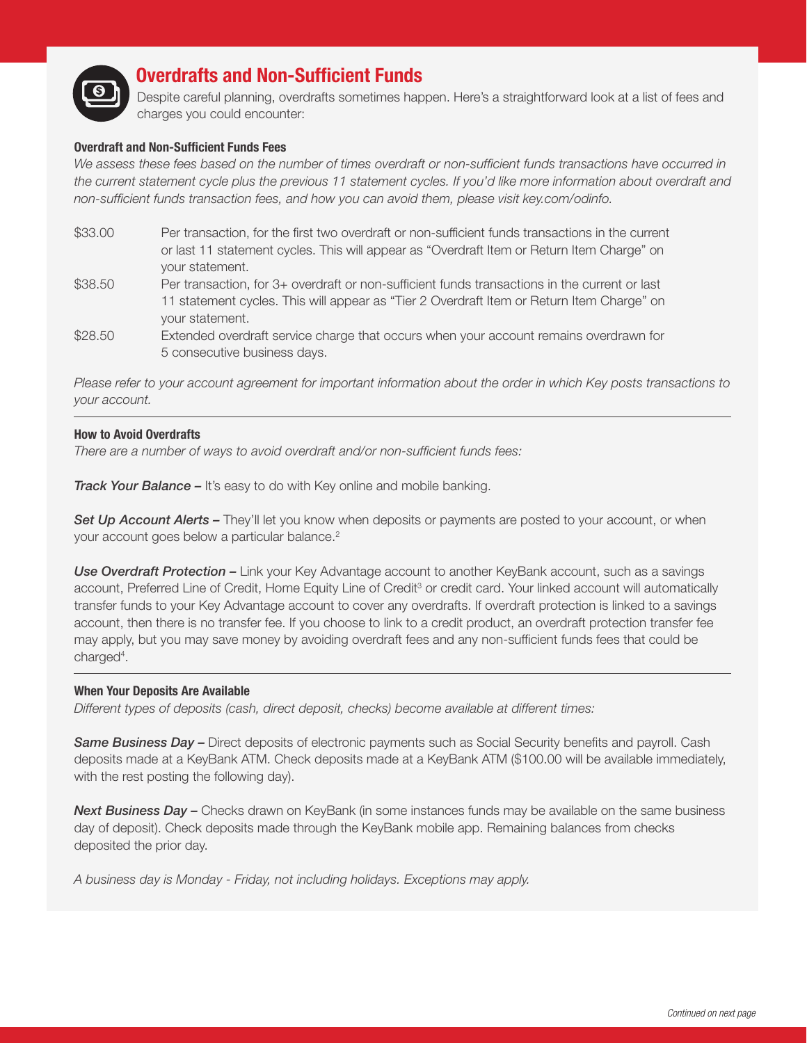

## **Overdrafts and Non-Sufficient Funds**

Despite careful planning, overdrafts sometimes happen. Here's a straightforward look at a list of fees and charges you could encounter:

#### **Overdraft and Non-Sufficient Funds Fees**

We assess these fees based on the number of times overdraft or non-sufficient funds transactions have occurred in *the current statement cycle plus the previous 11 statement cycles. If you'd like more information about overdraft and non-sufficient funds transaction fees, and how you can avoid them, please visit key.com/odinfo.*

- \$33.00 Per transaction, for the first two overdraft or non-sufficient funds transactions in the current or last 11 statement cycles. This will appear as "Overdraft Item or Return Item Charge" on your statement.
- \$38.50 Per transaction, for 3+ overdraft or non-sufficient funds transactions in the current or last 11 statement cycles. This will appear as "Tier 2 Overdraft Item or Return Item Charge" on your statement.
- \$28.50 Extended overdraft service charge that occurs when your account remains overdrawn for 5 consecutive business days.

*Please refer to your account agreement for important information about the order in which Key posts transactions to your account.*

#### **How to Avoid Overdrafts**

*There are a number of ways to avoid overdraft and/or non-sufficient funds fees:*

*Track Your Balance –* It's easy to do with Key online and mobile banking.

**Set Up Account Alerts –** They'll let you know when deposits or payments are posted to your account, or when your account goes below a particular balance.<sup>2</sup>

**Use Overdraft Protection –** Link your Key Advantage account to another KeyBank account, such as a savings account, Preferred Line of Credit, Home Equity Line of Credit<sup>3</sup> or credit card. Your linked account will automatically transfer funds to your Key Advantage account to cover any overdrafts. If overdraft protection is linked to a savings account, then there is no transfer fee. If you choose to link to a credit product, an overdraft protection transfer fee may apply, but you may save money by avoiding overdraft fees and any non-sufficient funds fees that could be charged<sup>4</sup>.

#### **When Your Deposits Are Available**

*Different types of deposits (cash, direct deposit, checks) become available at different times:*

*Same Business Day –* Direct deposits of electronic payments such as Social Security benefits and payroll. Cash deposits made at a KeyBank ATM. Check deposits made at a KeyBank ATM (\$100.00 will be available immediately, with the rest posting the following day).

**Next Business Day –** Checks drawn on KeyBank (in some instances funds may be available on the same business day of deposit). Check deposits made through the KeyBank mobile app. Remaining balances from checks deposited the prior day.

*A business day is Monday - Friday, not including holidays. Exceptions may apply.*